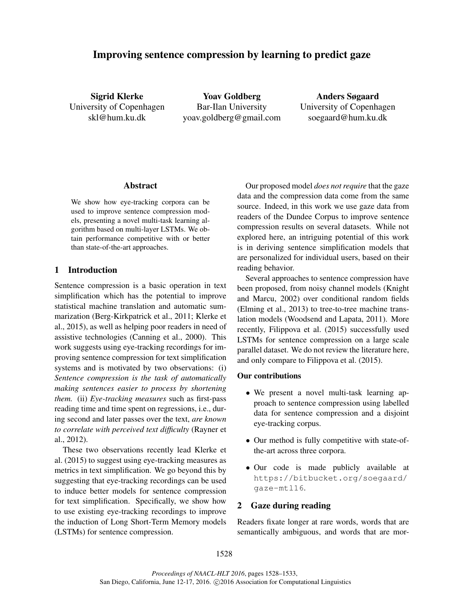# Improving sentence compression by learning to predict gaze

Sigrid Klerke University of Copenhagen skl@hum.ku.dk

Yoav Goldberg Bar-Ilan University yoav.goldberg@gmail.com

Anders Søgaard University of Copenhagen soegaard@hum.ku.dk

# Abstract

We show how eye-tracking corpora can be used to improve sentence compression models, presenting a novel multi-task learning algorithm based on multi-layer LSTMs. We obtain performance competitive with or better than state-of-the-art approaches.

# 1 Introduction

Sentence compression is a basic operation in text simplification which has the potential to improve statistical machine translation and automatic summarization (Berg-Kirkpatrick et al., 2011; Klerke et al., 2015), as well as helping poor readers in need of assistive technologies (Canning et al., 2000). This work suggests using eye-tracking recordings for improving sentence compression for text simplification systems and is motivated by two observations: (i) *Sentence compression is the task of automatically making sentences easier to process by shortening them.* (ii) *Eye-tracking measures* such as first-pass reading time and time spent on regressions, i.e., during second and later passes over the text, *are known to correlate with perceived text difficulty* (Rayner et al., 2012).

These two observations recently lead Klerke et al. (2015) to suggest using eye-tracking measures as metrics in text simplification. We go beyond this by suggesting that eye-tracking recordings can be used to induce better models for sentence compression for text simplification. Specifically, we show how to use existing eye-tracking recordings to improve the induction of Long Short-Term Memory models (LSTMs) for sentence compression.

Our proposed model *does not require* that the gaze data and the compression data come from the same source. Indeed, in this work we use gaze data from readers of the Dundee Corpus to improve sentence compression results on several datasets. While not explored here, an intriguing potential of this work is in deriving sentence simplification models that are personalized for individual users, based on their reading behavior.

Several approaches to sentence compression have been proposed, from noisy channel models (Knight and Marcu, 2002) over conditional random fields (Elming et al., 2013) to tree-to-tree machine translation models (Woodsend and Lapata, 2011). More recently, Filippova et al. (2015) successfully used LSTMs for sentence compression on a large scale parallel dataset. We do not review the literature here, and only compare to Filippova et al. (2015).

# Our contributions

- We present a novel multi-task learning approach to sentence compression using labelled data for sentence compression and a disjoint eye-tracking corpus.
- Our method is fully competitive with state-ofthe-art across three corpora.
- Our code is made publicly available at https://bitbucket.org/soegaard/ gaze-mtl16.

# 2 Gaze during reading

Readers fixate longer at rare words, words that are semantically ambiguous, and words that are mor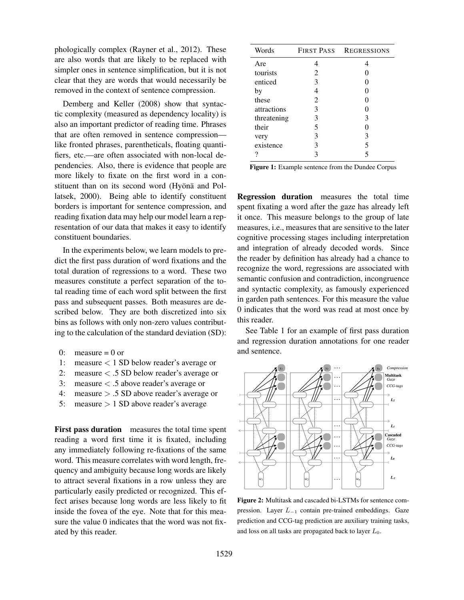phologically complex (Rayner et al., 2012). These are also words that are likely to be replaced with simpler ones in sentence simplification, but it is not clear that they are words that would necessarily be removed in the context of sentence compression.

Demberg and Keller (2008) show that syntactic complexity (measured as dependency locality) is also an important predictor of reading time. Phrases that are often removed in sentence compression like fronted phrases, parentheticals, floating quantifiers, etc.—are often associated with non-local dependencies. Also, there is evidence that people are more likely to fixate on the first word in a constituent than on its second word (Hyönä and Pollatsek, 2000). Being able to identify constituent borders is important for sentence compression, and reading fixation data may help our model learn a representation of our data that makes it easy to identify constituent boundaries.

In the experiments below, we learn models to predict the first pass duration of word fixations and the total duration of regressions to a word. These two measures constitute a perfect separation of the total reading time of each word split between the first pass and subsequent passes. Both measures are described below. They are both discretized into six bins as follows with only non-zero values contributing to the calculation of the standard deviation (SD):

- $0:$  measure  $= 0$  or
- 1: measure < 1 SD below reader's average or
- 2: measure < .5 SD below reader's average or
- 3: measure < .5 above reader's average or
- 4: measure > .5 SD above reader's average or
- 5: measure  $> 1$  SD above reader's average

First pass duration measures the total time spent reading a word first time it is fixated, including any immediately following re-fixations of the same word. This measure correlates with word length, frequency and ambiguity because long words are likely to attract several fixations in a row unless they are particularly easily predicted or recognized. This effect arises because long words are less likely to fit inside the fovea of the eye. Note that for this measure the value 0 indicates that the word was not fixated by this reader.

| Words       | FIRST PASS | <b>REGRESSIONS</b> |  |
|-------------|------------|--------------------|--|
| Are         |            |                    |  |
| tourists    | 2          |                    |  |
| enticed     | 3          |                    |  |
| by          |            |                    |  |
| these       | 2          |                    |  |
| attractions | 3          |                    |  |
| threatening | 3          | 3                  |  |
| their       | 5          |                    |  |
| very        | 3          | 3                  |  |
| existence   | 3          | 5                  |  |
|             |            |                    |  |

Figure 1: Example sentence from the Dundee Corpus

Regression duration measures the total time spent fixating a word after the gaze has already left it once. This measure belongs to the group of late measures, i.e., measures that are sensitive to the later cognitive processing stages including interpretation and integration of already decoded words. Since the reader by definition has already had a chance to recognize the word, regressions are associated with semantic confusion and contradiction, incongruence and syntactic complexity, as famously experienced in garden path sentences. For this measure the value 0 indicates that the word was read at most once by this reader.

See Table 1 for an example of first pass duration and regression duration annotations for one reader and sentence.



Figure 2: Multitask and cascaded bi-LSTMs for sentence compression. Layer L−<sup>1</sup> contain pre-trained embeddings. Gaze prediction and CCG-tag prediction are auxiliary training tasks, and loss on all tasks are propagated back to layer  $L_0$ .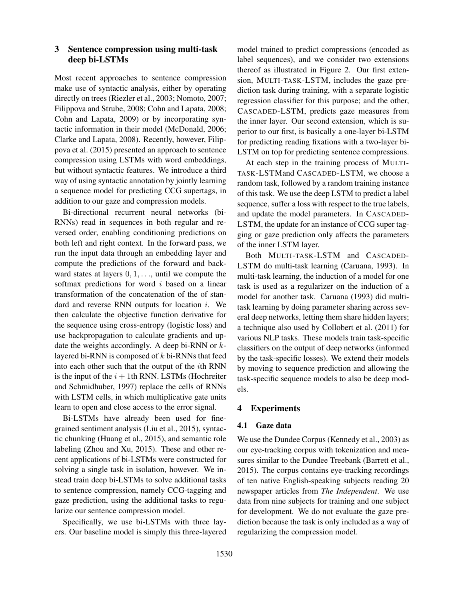# 3 Sentence compression using multi-task deep bi-LSTMs

Most recent approaches to sentence compression make use of syntactic analysis, either by operating directly on trees (Riezler et al., 2003; Nomoto, 2007; Filippova and Strube, 2008; Cohn and Lapata, 2008; Cohn and Lapata, 2009) or by incorporating syntactic information in their model (McDonald, 2006; Clarke and Lapata, 2008). Recently, however, Filippova et al. (2015) presented an approach to sentence compression using LSTMs with word embeddings, but without syntactic features. We introduce a third way of using syntactic annotation by jointly learning a sequence model for predicting CCG supertags, in addition to our gaze and compression models.

Bi-directional recurrent neural networks (bi-RNNs) read in sequences in both regular and reversed order, enabling conditioning predictions on both left and right context. In the forward pass, we run the input data through an embedding layer and compute the predictions of the forward and backward states at layers  $0, 1, \ldots$ , until we compute the softmax predictions for word  $i$  based on a linear transformation of the concatenation of the of standard and reverse RNN outputs for location i. We then calculate the objective function derivative for the sequence using cross-entropy (logistic loss) and use backpropagation to calculate gradients and update the weights accordingly. A deep bi-RNN or  $k$ layered bi-RNN is composed of  $k$  bi-RNNs that feed into each other such that the output of the ith RNN is the input of the  $i + 1$ th RNN. LSTMs (Hochreiter and Schmidhuber, 1997) replace the cells of RNNs with LSTM cells, in which multiplicative gate units learn to open and close access to the error signal.

Bi-LSTMs have already been used for finegrained sentiment analysis (Liu et al., 2015), syntactic chunking (Huang et al., 2015), and semantic role labeling (Zhou and Xu, 2015). These and other recent applications of bi-LSTMs were constructed for solving a single task in isolation, however. We instead train deep bi-LSTMs to solve additional tasks to sentence compression, namely CCG-tagging and gaze prediction, using the additional tasks to regularize our sentence compression model.

Specifically, we use bi-LSTMs with three layers. Our baseline model is simply this three-layered model trained to predict compressions (encoded as label sequences), and we consider two extensions thereof as illustrated in Figure 2. Our first extension, MULTI-TASK-LSTM, includes the gaze prediction task during training, with a separate logistic regression classifier for this purpose; and the other, CASCADED-LSTM, predicts gaze measures from the inner layer. Our second extension, which is superior to our first, is basically a one-layer bi-LSTM for predicting reading fixations with a two-layer bi-LSTM on top for predicting sentence compressions.

At each step in the training process of MULTI-TASK-LSTMand CASCADED-LSTM, we choose a random task, followed by a random training instance of this task. We use the deep LSTM to predict a label sequence, suffer a loss with respect to the true labels, and update the model parameters. In CASCADED-LSTM, the update for an instance of CCG super tagging or gaze prediction only affects the parameters of the inner LSTM layer.

Both MULTI-TASK-LSTM and CASCADED-LSTM do multi-task learning (Caruana, 1993). In multi-task learning, the induction of a model for one task is used as a regularizer on the induction of a model for another task. Caruana (1993) did multitask learning by doing parameter sharing across several deep networks, letting them share hidden layers; a technique also used by Collobert et al. (2011) for various NLP tasks. These models train task-specific classifiers on the output of deep networks (informed by the task-specific losses). We extend their models by moving to sequence prediction and allowing the task-specific sequence models to also be deep models.

# 4 Experiments

#### 4.1 Gaze data

We use the Dundee Corpus (Kennedy et al., 2003) as our eye-tracking corpus with tokenization and measures similar to the Dundee Treebank (Barrett et al., 2015). The corpus contains eye-tracking recordings of ten native English-speaking subjects reading 20 newspaper articles from *The Independent*. We use data from nine subjects for training and one subject for development. We do not evaluate the gaze prediction because the task is only included as a way of regularizing the compression model.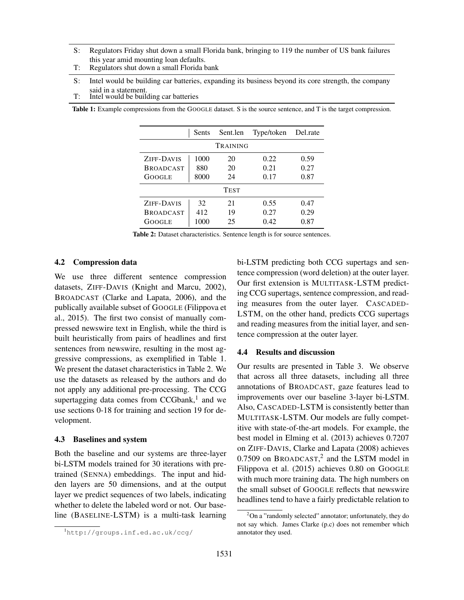- S: Regulators Friday shut down a small Florida bank, bringing to 119 the number of US bank failures this year amid mounting loan defaults.
- T: Regulators shut down a small Florida bank
- S: Intel would be building car batteries, expanding its business beyond its core strength, the company said in a statement.
- T: Intel would be building car batteries

Table 1: Example compressions from the GOOGLE dataset. S is the source sentence, and T is the target compression.

|                  | Sents      | Sent.len | Type/token | Del.rate |  |  |  |  |
|------------------|------------|----------|------------|----------|--|--|--|--|
| TRAINING         |            |          |            |          |  |  |  |  |
| ZIFF-DAVIS       | 1000       | 20       | 0.22       | 0.59     |  |  |  |  |
| <b>BROADCAST</b> | 880        | 20       | 0.21       | 0.27     |  |  |  |  |
| GOOGLE           | 8000<br>24 |          | 0.17       | 0.87     |  |  |  |  |
| Test             |            |          |            |          |  |  |  |  |
| ZIFF-DAVIS       | 32         | 21       | 0.55       | 0.47     |  |  |  |  |
| <b>BROADCAST</b> | 412        | 19       | 0.27       | 0.29     |  |  |  |  |
| GOOGLE           | 1000       | 25       | 0.42       | 0.87     |  |  |  |  |

Table 2: Dataset characteristics. Sentence length is for source sentences.

### 4.2 Compression data

We use three different sentence compression datasets, ZIFF-DAVIS (Knight and Marcu, 2002), BROADCAST (Clarke and Lapata, 2006), and the publically available subset of GOOGLE (Filippova et al., 2015). The first two consist of manually compressed newswire text in English, while the third is built heuristically from pairs of headlines and first sentences from newswire, resulting in the most aggressive compressions, as exemplified in Table 1. We present the dataset characteristics in Table 2. We use the datasets as released by the authors and do not apply any additional pre-processing. The CCG supertagging data comes from CCGbank, $<sup>1</sup>$  and we</sup> use sections 0-18 for training and section 19 for development.

#### 4.3 Baselines and system

Both the baseline and our systems are three-layer bi-LSTM models trained for 30 iterations with pretrained (SENNA) embeddings. The input and hidden layers are 50 dimensions, and at the output layer we predict sequences of two labels, indicating whether to delete the labeled word or not. Our baseline (BASELINE-LSTM) is a multi-task learning bi-LSTM predicting both CCG supertags and sentence compression (word deletion) at the outer layer. Our first extension is MULTITASK-LSTM predicting CCG supertags, sentence compression, and reading measures from the outer layer. CASCADED-LSTM, on the other hand, predicts CCG supertags and reading measures from the initial layer, and sentence compression at the outer layer.

### 4.4 Results and discussion

Our results are presented in Table 3. We observe that across all three datasets, including all three annotations of BROADCAST, gaze features lead to improvements over our baseline 3-layer bi-LSTM. Also, CASCADED-LSTM is consistently better than MULTITASK-LSTM. Our models are fully competitive with state-of-the-art models. For example, the best model in Elming et al. (2013) achieves 0.7207 on ZIFF-DAVIS, Clarke and Lapata (2008) achieves  $0.7509$  on BROADCAST,<sup>2</sup> and the LSTM model in Filippova et al. (2015) achieves 0.80 on GOOGLE with much more training data. The high numbers on the small subset of GOOGLE reflects that newswire headlines tend to have a fairly predictable relation to

<sup>1</sup>http://groups.inf.ed.ac.uk/ccg/

 $2$ On a "randomly selected" annotator; unfortunately, they do not say which. James Clarke (p.c) does not remember which annotator they used.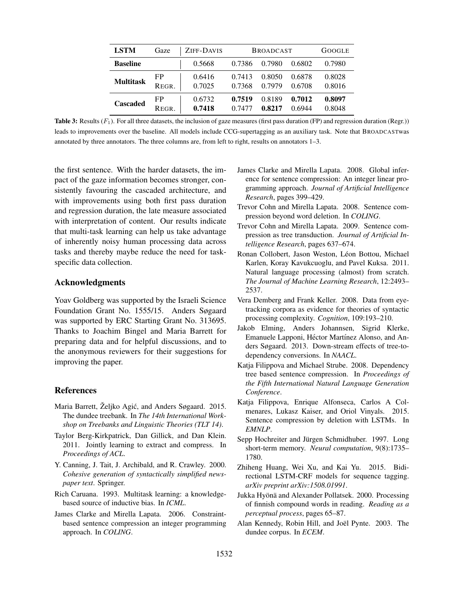| <b>LSTM</b>      | Gaze  | ZIFF-DAVIS | <b>BROADCAST</b> |        | <b>GOOGLE</b> |        |
|------------------|-------|------------|------------------|--------|---------------|--------|
| <b>Baseline</b>  |       | 0.5668     | 0.7386           | 0.7980 | 0.6802        | 0.7980 |
| <b>Multitask</b> | FP    | 0.6416     | 0.7413           | 0.8050 | 0.6878        | 0.8028 |
|                  | REGR. | 0.7025     | 0.7368           | 0.7979 | 0.6708        | 0.8016 |
| <b>Cascaded</b>  | FP    | 0.6732     | 0.7519           | 0.8189 | 0.7012        | 0.8097 |
|                  | REGR. | 0.7418     | 0.7477           | 0.8217 | 0 6944        | 0.8048 |

Table 3: Results  $(F_1)$ . For all three datasets, the inclusion of gaze measures (first pass duration (FP) and regression duration (Regr.)) leads to improvements over the baseline. All models include CCG-supertagging as an auxiliary task. Note that BROADCASTwas annotated by three annotators. The three columns are, from left to right, results on annotators 1–3.

the first sentence. With the harder datasets, the impact of the gaze information becomes stronger, consistently favouring the cascaded architecture, and with improvements using both first pass duration and regression duration, the late measure associated with interpretation of content. Our results indicate that multi-task learning can help us take advantage of inherently noisy human processing data across tasks and thereby maybe reduce the need for taskspecific data collection.

### Acknowledgments

Yoav Goldberg was supported by the Israeli Science Foundation Grant No. 1555/15. Anders Søgaard was supported by ERC Starting Grant No. 313695. Thanks to Joachim Bingel and Maria Barrett for preparing data and for helpful discussions, and to the anonymous reviewers for their suggestions for improving the paper.

#### References

- Maria Barrett, Željko Agić, and Anders Søgaard. 2015. The dundee treebank. In *The 14th International Workshop on Treebanks and Linguistic Theories (TLT 14)*.
- Taylor Berg-Kirkpatrick, Dan Gillick, and Dan Klein. 2011. Jointly learning to extract and compress. In *Proceedings of ACL*.
- Y. Canning, J. Tait, J. Archibald, and R. Crawley. 2000. *Cohesive generation of syntactically simplified newspaper text*. Springer.
- Rich Caruana. 1993. Multitask learning: a knowledgebased source of inductive bias. In *ICML*.
- James Clarke and Mirella Lapata. 2006. Constraintbased sentence compression an integer programming approach. In *COLING*.
- James Clarke and Mirella Lapata. 2008. Global inference for sentence compression: An integer linear programming approach. *Journal of Artificial Intelligence Research*, pages 399–429.
- Trevor Cohn and Mirella Lapata. 2008. Sentence compression beyond word deletion. In *COLING*.
- Trevor Cohn and Mirella Lapata. 2009. Sentence compression as tree transduction. *Journal of Artificial Intelligence Research*, pages 637–674.
- Ronan Collobert, Jason Weston, Léon Bottou, Michael Karlen, Koray Kavukcuoglu, and Pavel Kuksa. 2011. Natural language processing (almost) from scratch. *The Journal of Machine Learning Research*, 12:2493– 2537.
- Vera Demberg and Frank Keller. 2008. Data from eyetracking corpora as evidence for theories of syntactic processing complexity. *Cognition*, 109:193–210.
- Jakob Elming, Anders Johannsen, Sigrid Klerke, Emanuele Lapponi, Héctor Martínez Alonso, and Anders Søgaard. 2013. Down-stream effects of tree-todependency conversions. In *NAACL*.
- Katja Filippova and Michael Strube. 2008. Dependency tree based sentence compression. In *Proceedings of the Fifth International Natural Language Generation Conference*.
- Katja Filippova, Enrique Alfonseca, Carlos A Colmenares, Lukasz Kaiser, and Oriol Vinyals. 2015. Sentence compression by deletion with LSTMs. In *EMNLP*.
- Sepp Hochreiter and Jürgen Schmidhuber. 1997. Long short-term memory. *Neural computation*, 9(8):1735– 1780.
- Zhiheng Huang, Wei Xu, and Kai Yu. 2015. Bidirectional LSTM-CRF models for sequence tagging. *arXiv preprint arXiv:1508.01991*.
- Jukka Hyönä and Alexander Pollatsek. 2000. Processing of finnish compound words in reading. *Reading as a perceptual process*, pages 65–87.
- Alan Kennedy, Robin Hill, and Joël Pynte. 2003. The dundee corpus. In *ECEM*.